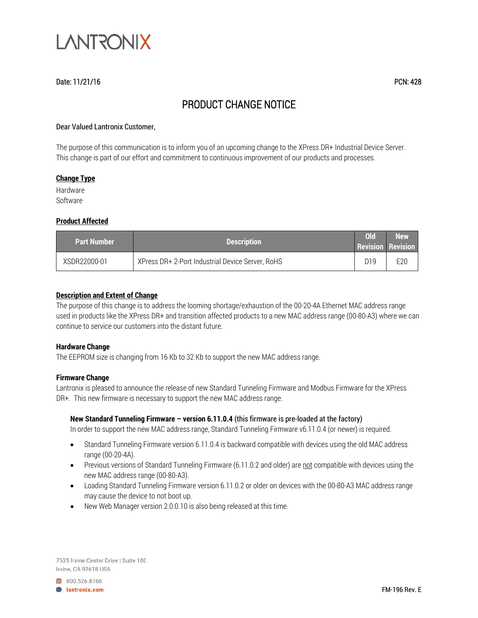

# Date: 11/21/16 PCN: 428

# PRODUCT CHANGE NOTICE

## Dear Valued Lantronix Customer,

The purpose of this communication is to inform you of an upcoming change to the XPress DR+ Industrial Device Server. This change is part of our effort and commitment to continuous improvement of our products and processes.

## **Change Type**

Hardware Software

## **Product Affected**

| <b>Part Number</b> | <b>Description</b>                               | ol <sub>d</sub> | <b>New</b><br><b>Revision Revision</b> |
|--------------------|--------------------------------------------------|-----------------|----------------------------------------|
| XSDR22000-01       | XPress DR+ 2-Port Industrial Device Server, RoHS | D19             | E20                                    |

## **Description and Extent of Change**

The purpose of this change is to address the looming shortage/exhaustion of the 00-20-4A Ethernet MAC address range used in products like the XPress DR+ and transition affected products to a new MAC address range (00-80-A3) where we can continue to service our customers into the distant future.

## **Hardware Change**

The EEPROM size is changing from 16 Kb to 32 Kb to support the new MAC address range.

#### **Firmware Change**

Lantronix is pleased to announce the release of new Standard Tunneling Firmware and Modbus Firmware for the XPress DR+. This new firmware is necessary to support the new MAC address range.

## **New Standard Tunneling Firmware – version 6.11.0.4** (this firmware is pre-loaded at the factory)

In order to support the new MAC address range, Standard Tunneling Firmware v6.11.0.4 (or newer) is required.

- Standard Tunneling Firmware version 6.11.0.4 is backward compatible with devices using the old MAC address range (00-20-4A).
- Previous versions of Standard Tunneling Firmware (6.11.0.2 and older) are not compatible with devices using the new MAC address range (00-80-A3).
- Loading Standard Tunneling Firmware version 6.11.0.2 or older on devices with the 00-80-A3 MAC address range may cause the device to not boot up.
- New Web Manager version 2.0.0.10 is also being released at this time.

7535 Irvine Center Drive | Suite 100 Irvine, CA 92618 USA

800.526.8766 **B** lantronix.com